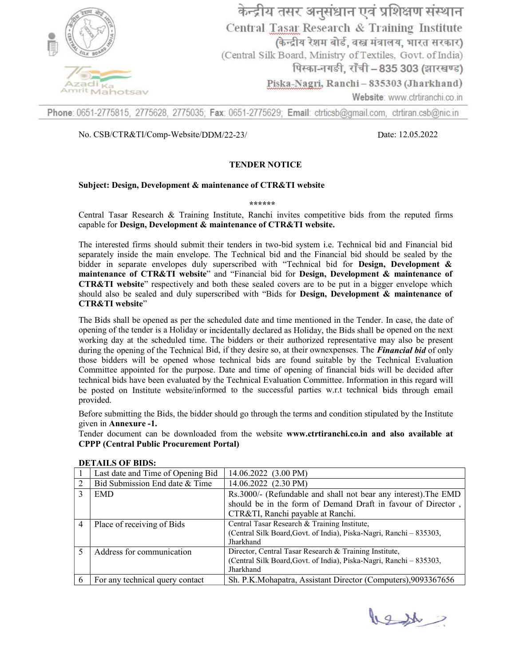

Phone: 0651-2775815, 2775628, 2775035; Fax: 0651-2775629; Email: ctrticsb@gmail.com, ctrtiran.csb@nic.in

### No. CSB/CTR&TI/Comp-Website/DDM/22-23/ Date: 12.05.2022

Date: 12.05.2022

### TENDER NOTICE

#### Subject: Design, Development & maintenance of CTR&TI website Design, Development & maintenance of CTR&TI website

\*\*\*\*\*\*

Central Tasar Research & Training Institute, Ranchi invites competitive bids from the reputed firms capable for Design, Development & maintenance of CTR&TI website Design, Development & maintenance of CTR&TI website. Central Tasar Research & Training Institute, Ranchi invites competitive bids from the reputed firms capable for Design, Development & maintenance of CTR&TI website.<br>The interested firms should submit their tenders in two-b

separately inside the main envelope. The Technical bid and the Financial bid should be sealed by the bidder in separate envelopes duly superscribed with "Technical bid for bidder in separate envelopes duly superscribed with "Technical bid for Design, Development & Design, Development & maintenance of CTR&TI website" and "Financial bid for Design, Development & maintenance of **CTR&TI** website" respectively and both these sealed covers are to be put in a bigger envelope which should also be sealed and duly superscribed with "Bids for **Design, Development & maintenance of** CTR&TI website"

The Bids shall be opened as per the scheduled date and time mentioned in the Tender. In case, the date of opening of the tender is a Holiday or incidentally declared as Holiday, the Bids shall be opened on the next opening of the tender is a Holiday or incidentally declared as Holiday, the Bids shall be opened on the next<br>working day at the scheduled time. The bidders or their authorized representative may also be present during the opening of the Technical Bid, if they desire so, at their ownexpenses. The *Financial bid* of only those bidders will be opened whose technical bids are found suitable by the those bidders will be opened whose technical bids are found suitable by the Technical Evaluation Technical Evaluation Committee appointed for the purpose. Date and time of opening of financial bids will be decided after technical bids have been evaluated by the Technical Evaluation Committee. Information in this regard will technical bids have been evaluated by the Technical Evaluation Committee. Information in this regard will be posted on Institute website/informed to the successful parties w.r.t technical bids through email provided. e appointed for the purpose. Date and time of opening of financial bids will be decided after<br>bids have been evaluated by the Technical Evaluation Committee. Information in this regard will<br>d on Institute website/informed

Before submitting the Bids, the bidder should go through the terms and condition stipulated by the Institute given in Annexure -1.

Tender document can be downloaded from the website www.ctrtiranchi.co.in and also available at CPPP (Central Public Procurement Portal) Central Public Procurement Portal)

|   | Last date and Time of Opening Bid | $14.06.2022$ $(3.00 \text{ PM})$                                    |
|---|-----------------------------------|---------------------------------------------------------------------|
|   | Bid Submission End date & Time    | 14.06.2022 (2.30 PM)                                                |
|   | <b>EMD</b>                        | Rs.3000/- (Refundable and shall not bear any interest). The EMD     |
|   |                                   | should be in the form of Demand Draft in favour of Director,        |
|   |                                   | CTR&TI, Ranchi payable at Ranchi.                                   |
| 4 | Place of receiving of Bids        | Central Tasar Research & Training Institute,                        |
|   |                                   | (Central Silk Board, Govt. of India), Piska-Nagri, Ranchi – 835303, |
|   |                                   | Jharkhand                                                           |
|   | Address for communication         | Director, Central Tasar Research & Training Institute,              |
|   |                                   | (Central Silk Board, Govt. of India), Piska-Nagri, Ranchi - 835303, |
|   |                                   | Jharkhand                                                           |
| 6 | For any technical query contact   | Sh. P.K.Mohapatra, Assistant Director (Computers), 9093367656       |

#### DETAILS OF BIDS:

les 1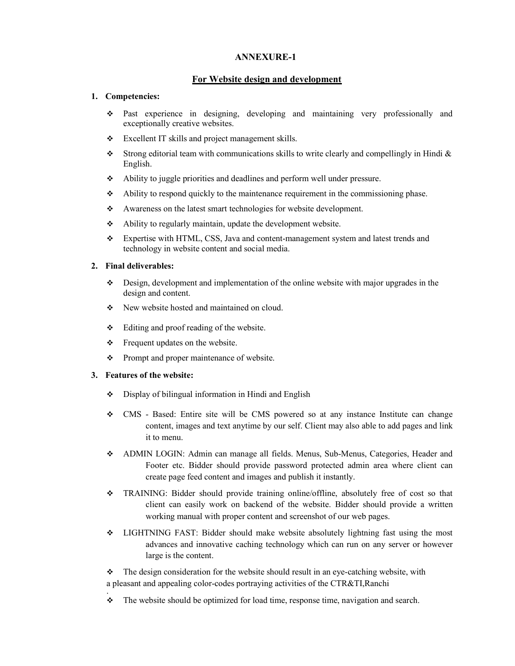## ANNEXURE-1

# For Website design and development

## 1. Competencies:

- Past experience in designing, developing and maintaining very professionally and exceptionally creative websites.
- \* Excellent IT skills and project management skills.
- Strong editorial team with communications skills to write clearly and compellingly in Hindi  $\&$ English.
- Ability to juggle priorities and deadlines and perform well under pressure.
- Ability to respond quickly to the maintenance requirement in the commissioning phase.
- Awareness on the latest smart technologies for website development.
- Ability to regularly maintain, update the development website.
- Expertise with HTML, CSS, Java and content-management system and latest trends and technology in website content and social media.

## 2. Final deliverables:

- $\bullet$  Design, development and implementation of the online website with major upgrades in the design and content.
- New website hosted and maintained on cloud.
- Editing and proof reading of the website.
- $\div$  Frequent updates on the website.
- Prompt and proper maintenance of website.

#### 3. Features of the website:

- Display of bilingual information in Hindi and English
- CMS Based: Entire site will be CMS powered so at any instance Institute can change content, images and text anytime by our self. Client may also able to add pages and link it to menu.
- ADMIN LOGIN: Admin can manage all fields. Menus, Sub-Menus, Categories, Header and Footer etc. Bidder should provide password protected admin area where client can create page feed content and images and publish it instantly.
- TRAINING: Bidder should provide training online/offline, absolutely free of cost so that client can easily work on backend of the website. Bidder should provide a written working manual with proper content and screenshot of our web pages.
- LIGHTNING FAST: Bidder should make website absolutely lightning fast using the most advances and innovative caching technology which can run on any server or however large is the content.

 $\bullet$  The design consideration for the website should result in an eye-catching website, with a pleasant and appealing color-codes portraying activities of the CTR&TI,Ranchi .

 $\bullet$  The website should be optimized for load time, response time, navigation and search.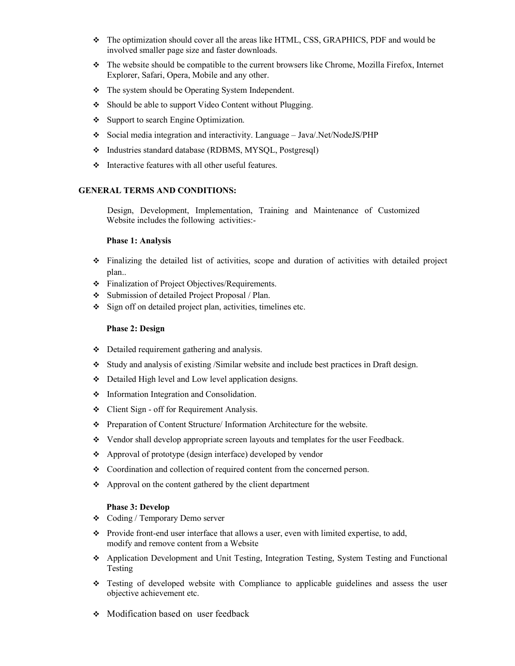- The optimization should cover all the areas like HTML, CSS, GRAPHICS, PDF and would be involved smaller page size and faster downloads.
- The website should be compatible to the current browsers like Chrome, Mozilla Firefox, Internet Explorer, Safari, Opera, Mobile and any other.
- $\div$  The system should be Operating System Independent.
- Should be able to support Video Content without Plugging.
- Support to search Engine Optimization.
- Social media integration and interactivity. Language Java/.Net/NodeJS/PHP
- Industries standard database (RDBMS, MYSQL, Postgresql)
- $\div$  Interactive features with all other useful features.

## GENERAL TERMS AND CONDITIONS:

Design, Development, Implementation, Training and Maintenance of Customized Website includes the following activities:-

#### Phase 1: Analysis

- Finalizing the detailed list of activities, scope and duration of activities with detailed project plan..
- **Finalization of Project Objectives/Requirements.**
- Submission of detailed Project Proposal / Plan.
- $\div$  Sign off on detailed project plan, activities, timelines etc.

## Phase 2: Design

- Detailed requirement gathering and analysis.
- Study and analysis of existing /Similar website and include best practices in Draft design.
- Detailed High level and Low level application designs.
- $\div$  Information Integration and Consolidation.
- Client Sign off for Requirement Analysis.
- Preparation of Content Structure/ Information Architecture for the website.
- Vendor shall develop appropriate screen layouts and templates for the user Feedback.
- Approval of prototype (design interface) developed by vendor
- Coordination and collection of required content from the concerned person.
- Approval on the content gathered by the client department

#### Phase 3: Develop

- Coding / Temporary Demo server
- Provide front-end user interface that allows a user, even with limited expertise, to add, modify and remove content from a Website
- Application Development and Unit Testing, Integration Testing, System Testing and Functional Testing
- Testing of developed website with Compliance to applicable guidelines and assess the user objective achievement etc.
- Modification based on user feedback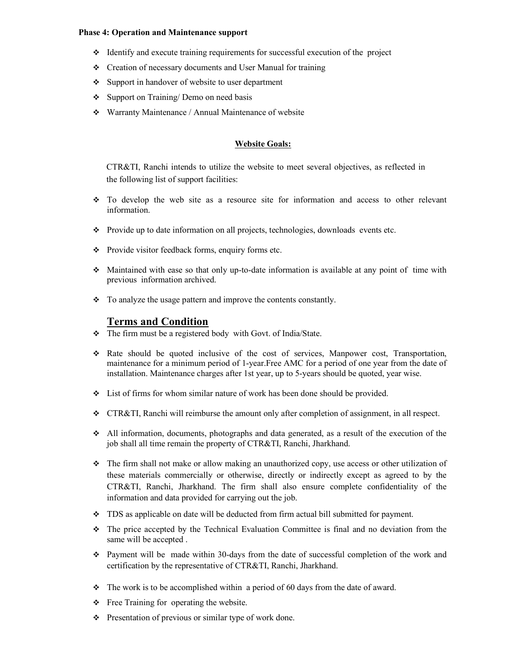#### Phase 4: Operation and Maintenance support

- Identify and execute training requirements for successful execution of the project
- Creation of necessary documents and User Manual for training
- $\div$  Support in handover of website to user department
- Support on Training/ Demo on need basis
- Warranty Maintenance / Annual Maintenance of website

## Website Goals:

CTR&TI, Ranchi intends to utilize the website to meet several objectives, as reflected in the following list of support facilities:

- $\div$  To develop the web site as a resource site for information and access to other relevant information.
- Provide up to date information on all projects, technologies, downloads events etc.
- Provide visitor feedback forms, enquiry forms etc.
- $\bullet$  Maintained with ease so that only up-to-date information is available at any point of time with previous information archived.
- To analyze the usage pattern and improve the contents constantly.

# Terms and Condition

- The firm must be a registered body with Govt. of India/State.
- Rate should be quoted inclusive of the cost of services, Manpower cost, Transportation, maintenance for a minimum period of 1-year.Free AMC for a period of one year from the date of installation. Maintenance charges after 1st year, up to 5-years should be quoted, year wise.
- List of firms for whom similar nature of work has been done should be provided.
- CTR&TI, Ranchi will reimburse the amount only after completion of assignment, in all respect.
- All information, documents, photographs and data generated, as a result of the execution of the job shall all time remain the property of CTR&TI, Ranchi, Jharkhand.
- The firm shall not make or allow making an unauthorized copy, use access or other utilization of these materials commercially or otherwise, directly or indirectly except as agreed to by the CTR&TI, Ranchi, Jharkhand. The firm shall also ensure complete confidentiality of the information and data provided for carrying out the job.
- $\bullet$  TDS as applicable on date will be deducted from firm actual bill submitted for payment.
- The price accepted by the Technical Evaluation Committee is final and no deviation from the same will be accepted .
- $\div$  Payment will be made within 30-days from the date of successful completion of the work and certification by the representative of CTR&TI, Ranchi, Jharkhand.
- $\cdot \cdot$  The work is to be accomplished within a period of 60 days from the date of award.
- \* Free Training for operating the website.
- Presentation of previous or similar type of work done.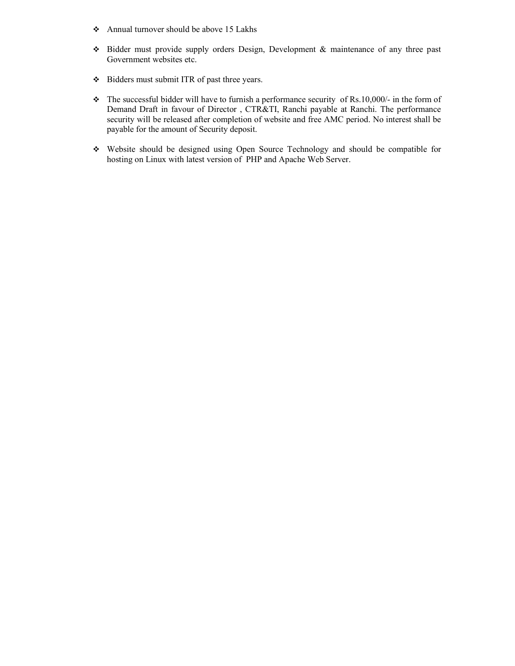- Annual turnover should be above 15 Lakhs
- Bidder must provide supply orders Design, Development & maintenance of any three past Government websites etc.
- Bidders must submit ITR of past three years.
- $\cdot \cdot$  The successful bidder will have to furnish a performance security of Rs.10,000/- in the form of Demand Draft in favour of Director , CTR&TI, Ranchi payable at Ranchi. The performance security will be released after completion of website and free AMC period. No interest shall be payable for the amount of Security deposit.
- Website should be designed using Open Source Technology and should be compatible for hosting on Linux with latest version of PHP and Apache Web Server.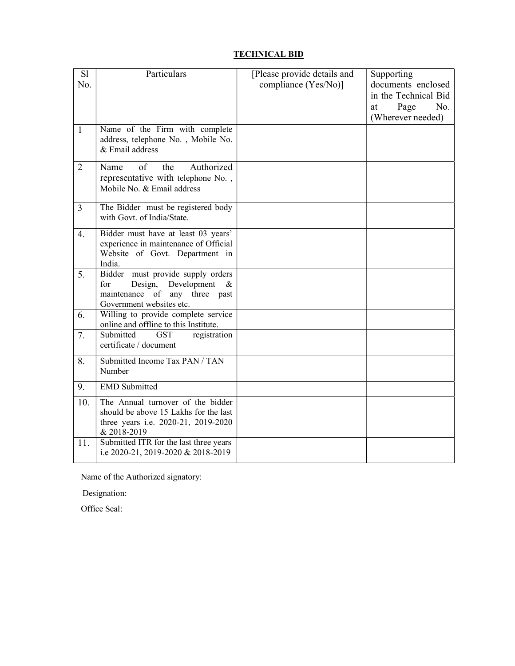# TECHNICAL BID

| S1<br>No.      | Particulars                                                                                                                                 | [Please provide details and<br>compliance (Yes/No)] | Supporting<br>documents enclosed<br>in the Technical Bid |
|----------------|---------------------------------------------------------------------------------------------------------------------------------------------|-----------------------------------------------------|----------------------------------------------------------|
|                |                                                                                                                                             |                                                     | No.<br>Page<br>at<br>(Wherever needed)                   |
| $\mathbf{1}$   | Name of the Firm with complete<br>address, telephone No., Mobile No.<br>& Email address                                                     |                                                     |                                                          |
| $\overline{2}$ | the<br>Authorized<br>Name<br>of<br>representative with telephone No.,<br>Mobile No. & Email address                                         |                                                     |                                                          |
| $\overline{3}$ | The Bidder must be registered body<br>with Govt. of India/State.                                                                            |                                                     |                                                          |
| 4.             | Bidder must have at least 03 years'<br>experience in maintenance of Official<br>Website of Govt. Department in<br>India.                    |                                                     |                                                          |
| 5.             | Bidder<br>must provide supply orders<br>for<br>Design, Development<br>$\alpha$<br>maintenance of any three past<br>Government websites etc. |                                                     |                                                          |
| 6.             | Willing to provide complete service<br>online and offline to this Institute.                                                                |                                                     |                                                          |
| 7.             | Submitted<br><b>GST</b><br>registration<br>certificate / document                                                                           |                                                     |                                                          |
| 8.             | Submitted Income Tax PAN / TAN<br>Number                                                                                                    |                                                     |                                                          |
| 9.             | <b>EMD</b> Submitted                                                                                                                        |                                                     |                                                          |
| 10.            | The Annual turnover of the bidder<br>should be above 15 Lakhs for the last<br>three years i.e. 2020-21, 2019-2020<br>& 2018-2019            |                                                     |                                                          |
| 11.            | Submitted ITR for the last three years<br>i.e 2020-21, 2019-2020 & 2018-2019                                                                |                                                     |                                                          |

Name of the Authorized signatory:

Designation:

Office Seal: